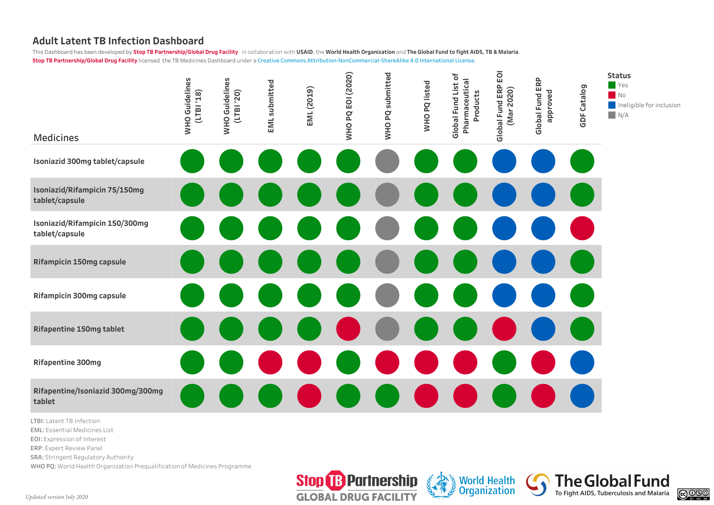## **Adult Latent TB Infection Dashboard**

This Dashboard has been developed by Stop TB Partnership/Global Drug Facility in collaboration with USAID, the World Health Organization and The Global Fund to fight AIDS, TB & Malaria. **Stop TB Partnership/Global Drug Facility** licensed the TB Medicines Dashboard under a Creative Commons Attribution-NonCommercial-ShareAlike 4.0 International License.



**LTBI:** Latent TB Imection<br>**EML:** Essential Medicines List **25mg tablet EOI:** Expression of Interest **ERP**: Expert Review Panel **SRA: Stringent Regulatory Authority** WHO PQ: World Health Organization Prequalification of Medicines Programme